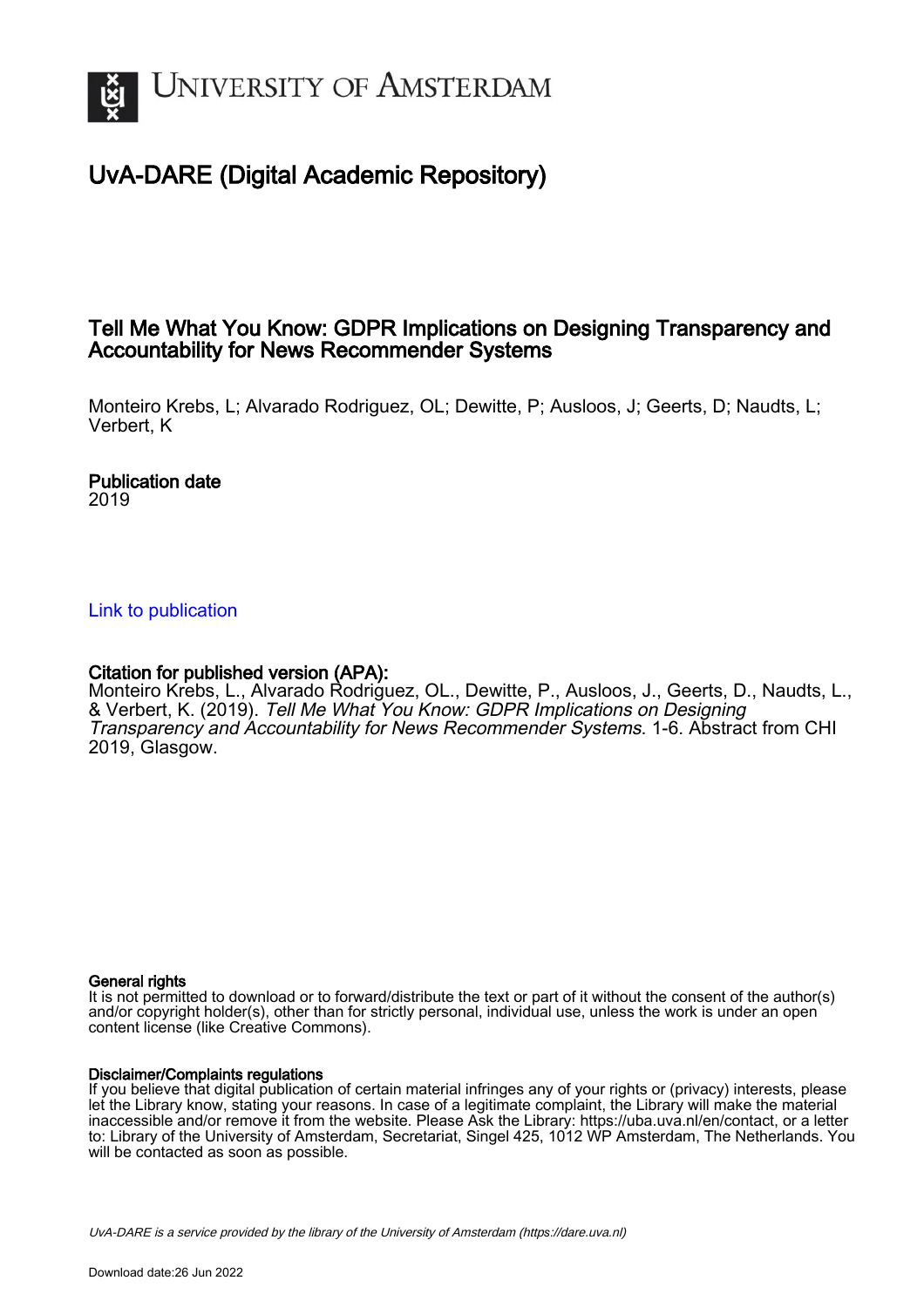

## UvA-DARE (Digital Academic Repository)

## Tell Me What You Know: GDPR Implications on Designing Transparency and Accountability for News Recommender Systems

Monteiro Krebs, L; Alvarado Rodriguez, OL; Dewitte, P; Ausloos, J; Geerts, D; Naudts, L; Verbert, K

#### Publication date 2019

## [Link to publication](https://dare.uva.nl/personal/pure/en/publications/tell-me-what-you-know-gdpr-implications-on-designing-transparency-and-accountability-for-news-recommender-systems(e5eaa9ef-7546-4738-9608-eb1c737c3d08).html)

## Citation for published version (APA):

Monteiro Krebs, L., Alvarado Rodriguez, OL., Dewitte, P., Ausloos, J., Geerts, D., Naudts, L., & Verbert, K. (2019). Tell Me What You Know: GDPR Implications on Designing Transparency and Accountability for News Recommender Systems. 1-6. Abstract from CHI 2019, Glasgow.

#### General rights

It is not permitted to download or to forward/distribute the text or part of it without the consent of the author(s) and/or copyright holder(s), other than for strictly personal, individual use, unless the work is under an open content license (like Creative Commons).

#### Disclaimer/Complaints regulations

If you believe that digital publication of certain material infringes any of your rights or (privacy) interests, please let the Library know, stating your reasons. In case of a legitimate complaint, the Library will make the material inaccessible and/or remove it from the website. Please Ask the Library: https://uba.uva.nl/en/contact, or a letter to: Library of the University of Amsterdam, Secretariat, Singel 425, 1012 WP Amsterdam, The Netherlands. You will be contacted as soon as possible.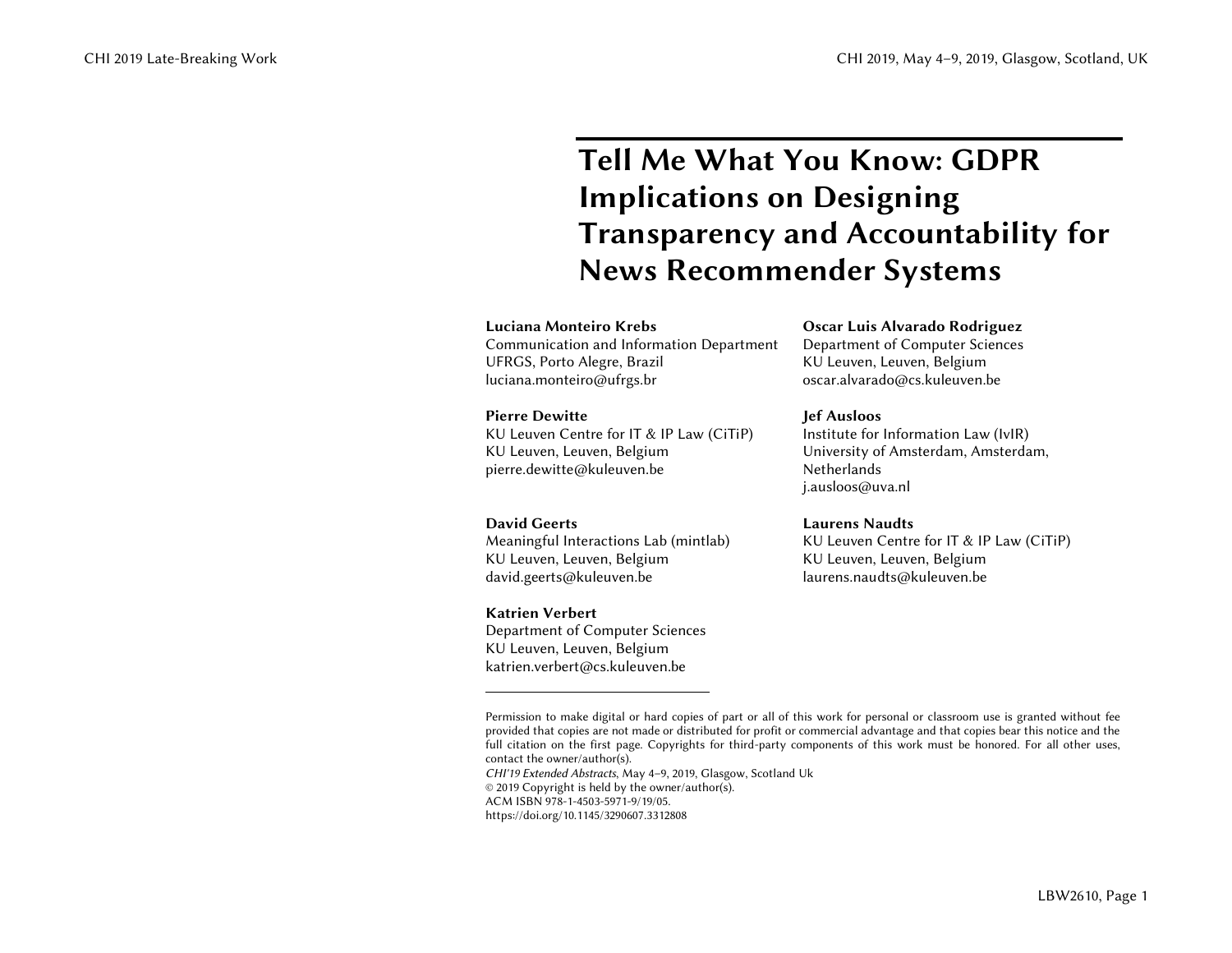# **Tell Me What You Know: GDPR Implications on Designing Transparency and Accountability for News Recommender Systems<sup>1</sup>**

#### **Luciana Monteiro Krebs**

Communication and Information Department UFRGS, Porto Alegre, Brazil luciana.monteiro@ufrgs.br

#### **Pierre Dewitte**

KU Leuven Centre for IT & IP Law (CiTiP) KU Leuven, Leuven, Belgium pierre.dewitte@kuleuven.be

#### **David Geerts**

Meaningful Interactions Lab (mintlab) KU Leuven, Leuven, Belgium david.geerts@kuleuven.be

#### **Katrien Verbert**

 $\overline{a}$ 

Department of Computer Sciences KU Leuven, Leuven, Belgium katrien.verbert@cs.kuleuven.be

#### **Oscar Luis Alvarado Rodriguez**

Department of Computer Sciences KU Leuven, Leuven, Belgium oscar.alvarado@cs.kuleuven.be

#### **Jef Ausloos**

Institute for Information Law (IvIR) University of Amsterdam, Amsterdam, Netherlands j.ausloos@uva.nl

#### **Laurens Naudts**

KU Leuven Centre for IT & IP Law (CiTiP) KU Leuven, Leuven, Belgium laurens.naudts@kuleuven.be

*CHI'19 Extended Abstracts*, May 4–9, 2019, Glasgow, Scotland Uk © 2019 Copyright is held by the owner/author(s).

ACM ISBN 978-1-4503-5971-9/19/05.

https://doi.org/10.1145/3290607.3312808

Permission to make digital or hard copies of part or all of this work for personal or classroom use is granted without fee provided that copies are not made or distributed for profit or commercial advantage and that copies bear this notice and the full citation on the first page. Copyrights for third-party components of this work must be honored. For all other uses, contact the owner/author(s).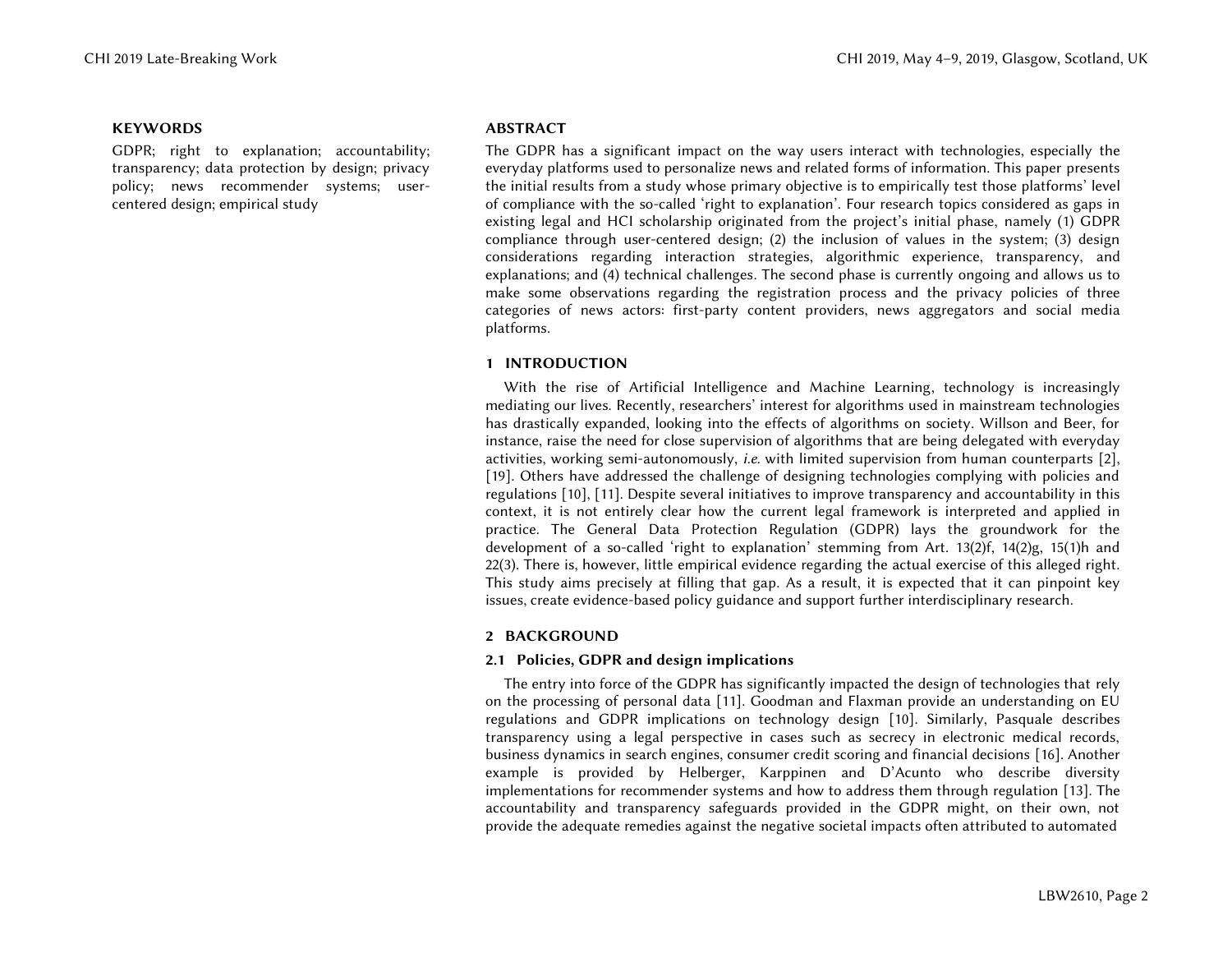#### **KEYWORDS**

GDPR; right to explanation; accountability; transparency; data protection by design; privacy policy; news recommender systems; usercentered design; empirical study

#### **ABSTRACT**

The GDPR has a significant impact on the way users interact with technologies, especially the everyday platforms used to personalize news and related forms of information. This paper presents the initial results from a study whose primary objective is to empirically test those platforms' level of compliance with the so-called 'right to explanation'. Four research topics considered as gaps in existing legal and HCI scholarship originated from the project's initial phase, namely (1) GDPR compliance through user-centered design; (2) the inclusion of values in the system; (3) design considerations regarding interaction strategies, algorithmic experience, transparency, and explanations; and (4) technical challenges. The second phase is currently ongoing and allows us to make some observations regarding the registration process and the privacy policies of three categories of news actors: first-party content providers, news aggregators and social media platforms.

#### **1 INTRODUCTION**

With the rise of Artificial Intelligence and Machine Learning, technology is increasingly mediating our lives. Recently, researchers' interest for algorithms used in mainstream technologies has drastically expanded, looking into the effects of algorithms on society. Willson and Beer, for instance, raise the need for close supervision of algorithms that are being delegated with everyday activities, working semi-autonomously, *i.e.* with limited supervision from human counterparts [\[2\],](#page-6-0) [\[19\].](#page-6-1) Others have addressed the challenge of designing technologies complying with policies and regulation[s \[10\],](#page-6-2) [\[11\].](#page-6-3) Despite several initiatives to improve transparency and accountability in this context, it is not entirely clear how the current legal framework is interpreted and applied in practice. The General Data Protection Regulation (GDPR) lays the groundwork for the development of a so-called 'right to explanation' stemming from Art. 13(2)f, 14(2)g, 15(1)h and 22(3). There is, however, little empirical evidence regarding the actual exercise of this alleged right. This study aims precisely at filling that gap. As a result, it is expected that it can pinpoint key issues, create evidence-based policy guidance and support further interdisciplinary research.

#### **2 BACKGROUND**

#### **2.1 Policies, GDPR and design implications**

The entry into force of the GDPR has significantly impacted the design of technologies that rely on the processing of personal data [\[11\].](#page-6-3) Goodman and Flaxman provide an understanding on EU regulations and GDPR implications on technology design [\[10\].](#page-6-2) Similarly, Pasquale describes transparency using a legal perspective in cases such as secrecy in electronic medical records, business dynamics in search engines, consumer credit scoring and financial decisions [\[16\].](#page-6-4) Another example is provided by Helberger, Karppinen and D'Acunto who describe diversity implementations for recommender systems and how to address them through regulation [\[13\].](#page-6-5) The accountability and transparency safeguards provided in the GDPR might, on their own, not provide the adequate remedies against the negative societal impacts often attributed to automated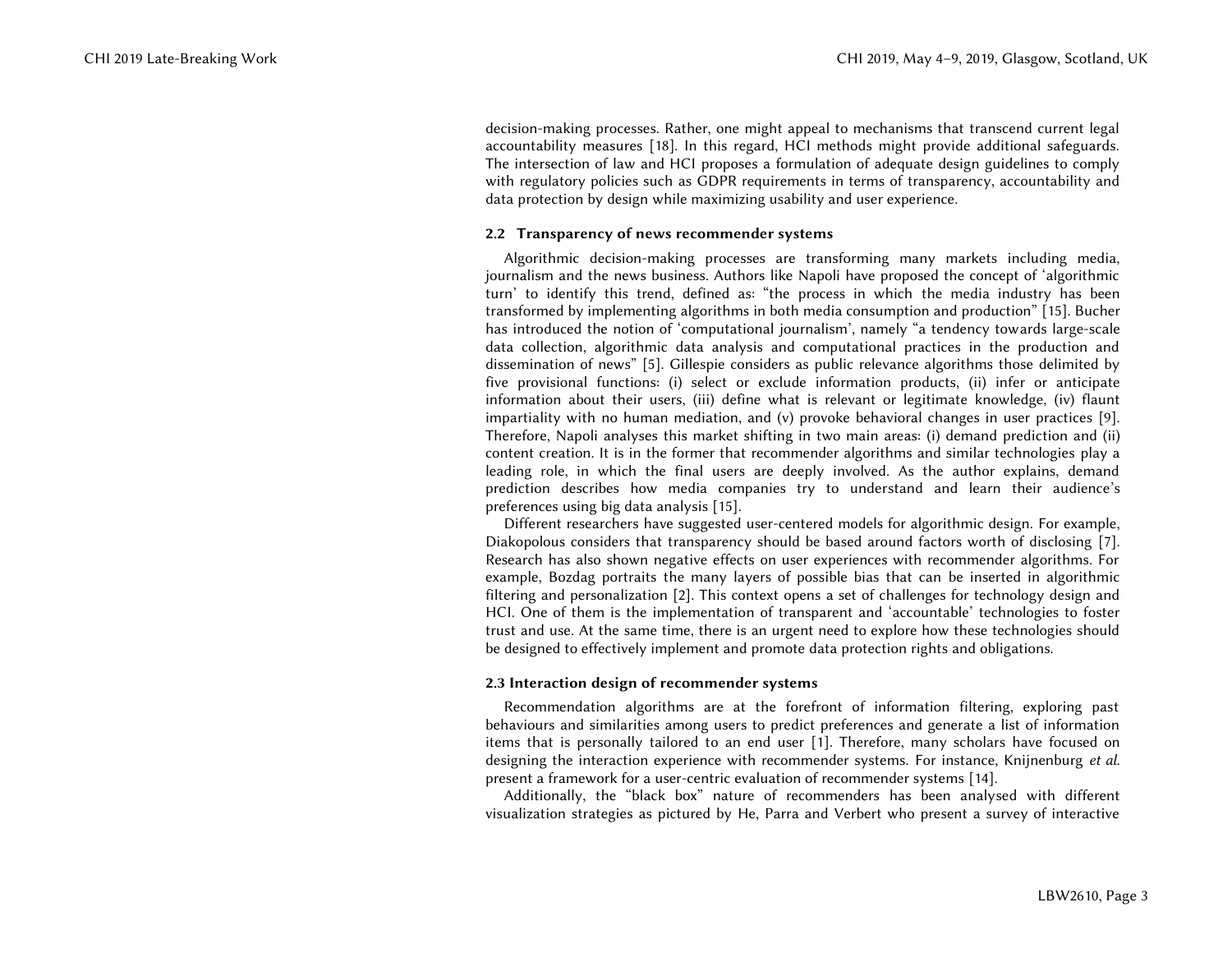decision-making processes. Rather, one might appeal to mechanisms that transcend current legal accountability measures [\[18\].](#page-6-6) In this regard, HCI methods might provide additional safeguards. The intersection of law and HCI proposes a formulation of adequate design guidelines to comply with regulatory policies such as GDPR requirements in terms of transparency, accountability and data protection by design while maximizing usability and user experience.

#### **2.2 Transparency of news recommender systems**

Algorithmic decision-making processes are transforming many markets including media, journalism and the news business. Authors like Napoli have proposed the concept of 'algorithmic turn' to identify this trend, defined as: "the process in which the media industry has been transformed by implementing algorithms in both media consumption and production" [\[15\].](#page-6-7) Bucher has introduced the notion of 'computational journalism', namely "a tendency towards large-scale data collection, algorithmic data analysis and computational practices in the production and dissemination of news" [\[5\].](#page-6-8) Gillespie considers as public relevance algorithms those delimited by five provisional functions: (i) select or exclude information products, (ii) infer or anticipate information about their users, (iii) define what is relevant or legitimate knowledge, (iv) flaunt impartiality with no human mediation, and (v) provoke behavioral changes in user practices [\[9\].](#page-6-9) Therefore, Napoli analyses this market shifting in two main areas: (i) demand prediction and (ii) content creation. It is in the former that recommender algorithms and similar technologies play a leading role, in which the final users are deeply involved. As the author explains, demand prediction describes how media companies try to understand and learn their audience's preferences using big data analysis [\[15\].](#page-6-7) 

Different researchers have suggested user-centered models for algorithmic design. For example, Diakopolous considers that transparency should be based around factors worth of disclosing [\[7\].](#page-6-10) Research has also shown negative effects on user experiences with recommender algorithms. For example, Bozdag portraits the many layers of possible bias that can be inserted in algorithmic filtering and personalization [\[2\].](#page-6-0) This context opens a set of challenges for technology design and HCI. One of them is the implementation of transparent and 'accountable' technologies to foster trust and use. At the same time, there is an urgent need to explore how these technologies should be designed to effectively implement and promote data protection rights and obligations.

#### **2.3 Interaction design of recommender systems**

Recommendation algorithms are at the forefront of information filtering, exploring past behaviours and similarities among users to predict preferences and generate a list of information items that is personally tailored to an end user [\[1\].](#page-5-0) Therefore, many scholars have focused on designing the interaction experience with recommender systems. For instance, Knijnenburg *et al*. present a framework for a user-centric evaluation of recommender systems [\[14\].](#page-6-11)

Additionally, the "black box" nature of recommenders has been analysed with different visualization strategies as pictured by He, Parra and Verbert who present a survey of interactive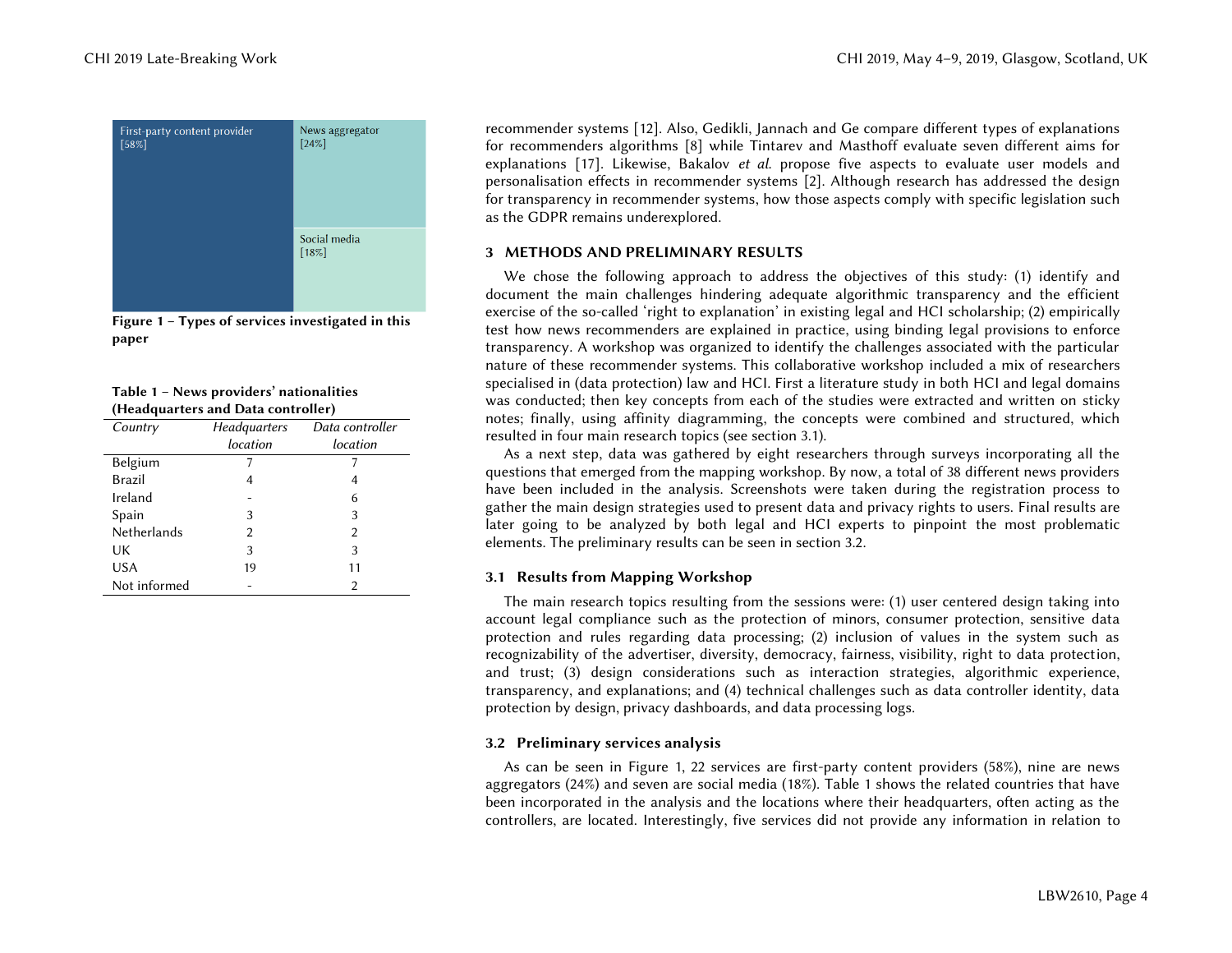

<span id="page-4-0"></span>**Figure 1 – Types of services investigated in this paper** 

<span id="page-4-1"></span>

| Table 1 - News providers' nationalities |
|-----------------------------------------|
| (Headquarters and Data controller)      |

| Country      | Headquarters | Data controller |
|--------------|--------------|-----------------|
|              | location     | location        |
| Belgium      |              |                 |
| Brazil       | 4            | 4               |
| Ireland      |              | 6               |
| Spain        | 3            | 3               |
| Netherlands  | 2            | 2               |
| UK           | 3            | 3               |
| <b>USA</b>   | 19           | 11              |
| Not informed |              | $\mathfrak{D}$  |

recommender systems [\[12\].](#page-6-12) Also, Gedikli, Jannach and Ge compare different types of explanations for recommenders algorithms [\[8\]](#page-6-13) while Tintarev and Masthoff evaluate seven different aims for explanations [\[17\].](#page-6-14) Likewise, Bakalov *et al*. propose five aspects to evaluate user models and personalisation effects in recommender systems [\[2\].](#page-6-0) Although research has addressed the design for transparency in recommender systems, how those aspects comply with specific legislation such as the GDPR remains underexplored.

#### **3 METHODS AND PRELIMINARY RESULTS**

We chose the following approach to address the objectives of this study: (1) identify and document the main challenges hindering adequate algorithmic transparency and the efficient exercise of the so-called 'right to explanation' in existing legal and HCI scholarship; (2) empirically test how news recommenders are explained in practice, using binding legal provisions to enforce transparency. A workshop was organized to identify the challenges associated with the particular nature of these recommender systems. This collaborative workshop included a mix of researchers specialised in (data protection) law and HCI. First a literature study in both HCI and legal domains was conducted; then key concepts from each of the studies were extracted and written on sticky notes; finally, using affinity diagramming, the concepts were combined and structured, which resulted in four main research topics (see section 3.1).

As a next step, data was gathered by eight researchers through surveys incorporating all the questions that emerged from the mapping workshop. By now, a total of 38 different news providers have been included in the analysis. Screenshots were taken during the registration process to gather the main design strategies used to present data and privacy rights to users. Final results are later going to be analyzed by both legal and HCI experts to pinpoint the most problematic elements. The preliminary results can be seen in section 3.2.

#### **3.1 Results from Mapping Workshop**

The main research topics resulting from the sessions were: (1) user centered design taking into account legal compliance such as the protection of minors, consumer protection, sensitive data protection and rules regarding data processing; (2) inclusion of values in the system such as recognizability of the advertiser, diversity, democracy, fairness, visibility, right to data protection, and trust; (3) design considerations such as interaction strategies, algorithmic experience, transparency, and explanations; and (4) technical challenges such as data controller identity, data protection by design, privacy dashboards, and data processing logs.

#### **3.2 Preliminary services analysis**

As can be seen in [Figure 1,](#page-4-0) 22 services are first-party content providers (58%), nine are news aggregators (24%) and seven are social media (18%). [Table 1](#page-4-1) shows the related countries that have been incorporated in the analysis and the locations where their headquarters, often acting as the controllers, are located. Interestingly, five services did not provide any information in relation to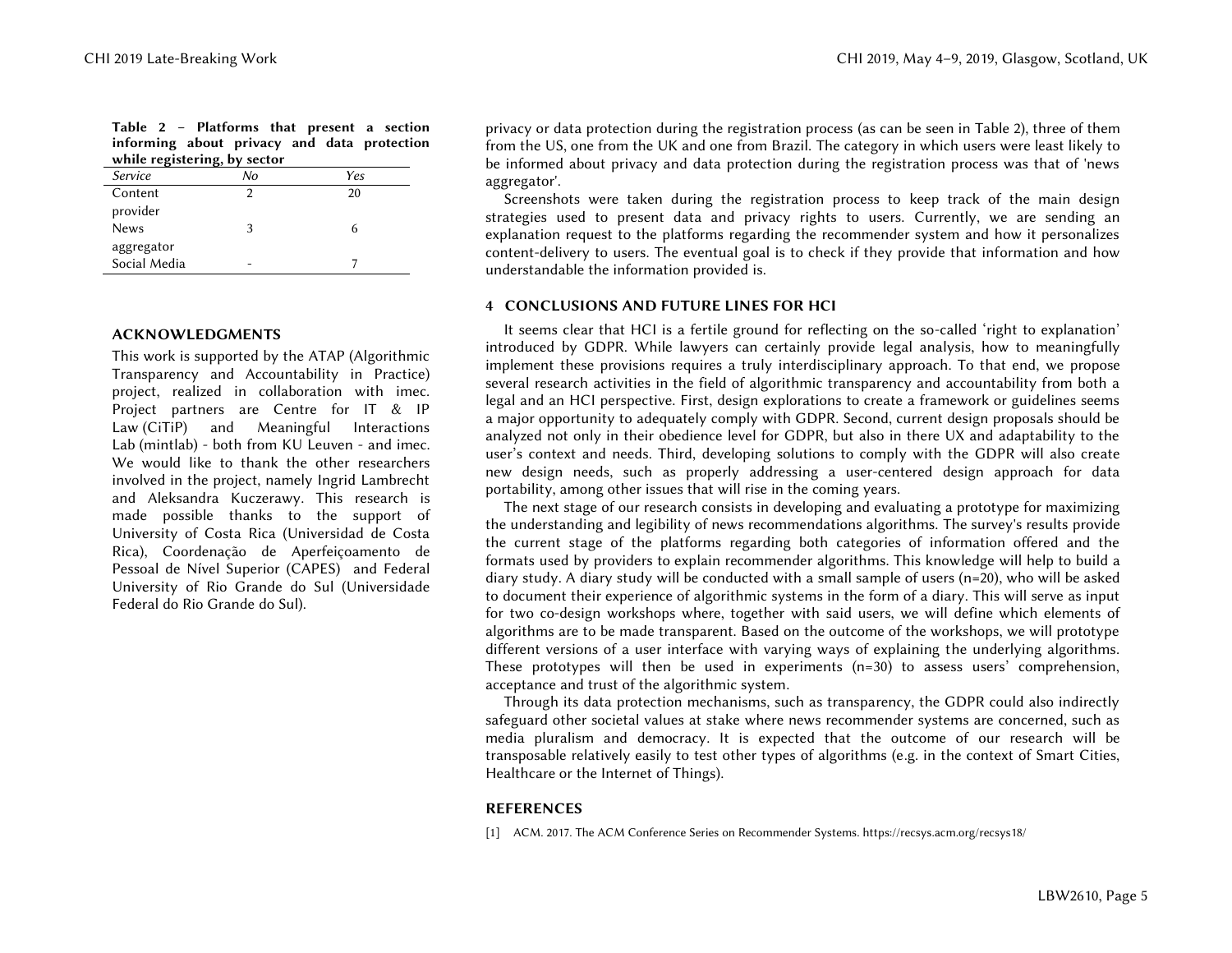<span id="page-5-1"></span>

|                     | Table 2 - Platforms that present a section<br>informing about privacy and data protection<br>while registering, by sector |     |  |
|---------------------|---------------------------------------------------------------------------------------------------------------------------|-----|--|
| <i>Service</i>      | Nο                                                                                                                        | Yes |  |
| Content<br>provider |                                                                                                                           | 20  |  |
|                     |                                                                                                                           |     |  |

| provider     |   |  |
|--------------|---|--|
| <b>News</b>  | n |  |
| aggregator   |   |  |
| Social Media |   |  |
|              |   |  |

#### **ACKNOWLEDGMENTS**

This work is supported by the ATAP (Algorithmic Transparency and Accountability in Practice) project, realized in collaboration with imec. Project partners are Centre for IT & IP Law (CiTiP) and Meaningful Interactions Lab (mintlab) - both from KU Leuven - and imec. We would like to thank the other researchers involved in the project, namely Ingrid Lambrecht and Aleksandra Kuczerawy. This research is made possible thanks to the support of University of Costa Rica (Universidad de Costa Rica), Coordenação de Aperfeiçoamento de Pessoal de Nível Superior (CAPES) and Federal University of Rio Grande do Sul (Universidade Federal do Rio Grande do Sul).

privacy or data protection during the registration process (as can be seen in [Table 2\)](#page-5-1), three of them from the US, one from the UK and one from Brazil. The category in which users were least likely to be informed about privacy and data protection during the registration process was that of 'news aggregator'.

Screenshots were taken during the registration process to keep track of the main design strategies used to present data and privacy rights to users. Currently, we are sending an explanation request to the platforms regarding the recommender system and how it personalizes content-delivery to users. The eventual goal is to check if they provide that information and how understandable the information provided is.

#### **4 CONCLUSIONS AND FUTURE LINES FOR HCI**

It seems clear that HCI is a fertile ground for reflecting on the so-called 'right to explanation' introduced by GDPR. While lawyers can certainly provide legal analysis, how to meaningfully implement these provisions requires a truly interdisciplinary approach. To that end, we propose several research activities in the field of algorithmic transparency and accountability from both a legal and an HCI perspective. First, design explorations to create a framework or guidelines seems a major opportunity to adequately comply with GDPR. Second, current design proposals should be analyzed not only in their obedience level for GDPR, but also in there UX and adaptability to the user's context and needs. Third, developing solutions to comply with the GDPR will also create new design needs, such as properly addressing a user-centered design approach for data portability, among other issues that will rise in the coming years.

The next stage of our research consists in developing and evaluating a prototype for maximizing the understanding and legibility of news recommendations algorithms. The survey's results provide the current stage of the platforms regarding both categories of information offered and the formats used by providers to explain recommender algorithms. This knowledge will help to build a diary study. A diary study will be conducted with a small sample of users (n=20), who will be asked to document their experience of algorithmic systems in the form of a diary. This will serve as input for two co-design workshops where, together with said users, we will define which elements of algorithms are to be made transparent. Based on the outcome of the workshops, we will prototype different versions of a user interface with varying ways of explaining the underlying algorithms. These prototypes will then be used in experiments  $(n=30)$  to assess users' comprehension, acceptance and trust of the algorithmic system.

Through its data protection mechanisms, such as transparency, the GDPR could also indirectly safeguard other societal values at stake where news recommender systems are concerned, such as media pluralism and democracy. It is expected that the outcome of our research will be transposable relatively easily to test other types of algorithms (e.g. in the context of Smart Cities, Healthcare or the Internet of Things).

#### **REFERENCES**

<span id="page-5-0"></span>[1] ACM. 2017. The ACM Conference Series on Recommender Systems. https://recsys.acm.org/recsys18/